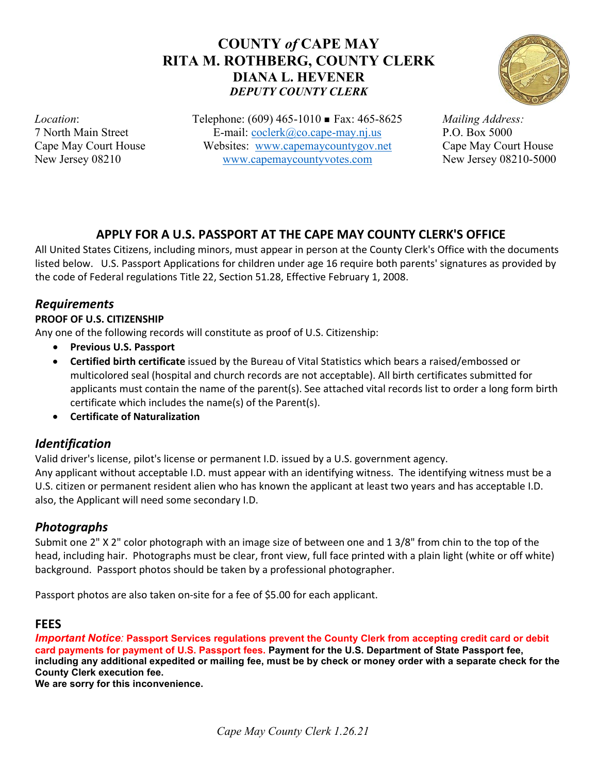# **COUNTY** *of* **CAPE MAY RITA M. ROTHBERG, COUNTY CLERK DIANA L. HEVENER** *DEPUTY COUNTY CLERK*



*Location*: 7 North Main Street Cape May Court House New Jersey 08210

Telephone: (609) 465-1010 ■ Fax: 465-8625 E-mail: [coclerk@co.cape-may.nj.us](mailto:coclerk@co.cape-may.nj.us) Websites: [www.capemaycountygov.net](http://www.capemaycountygov.net/) [www.capemaycountyvotes.com](http://www.capemaycountyvotes.com/)

*Mailing Address:* P.O. Box 5000 Cape May Court House New Jersey 08210-5000

# **APPLY FOR A U.S. PASSPORT AT THE CAPE MAY COUNTY CLERK'S OFFICE**

All United States Citizens, including minors, must appear in person at the County Clerk's Office with the documents listed below. U.S. Passport Applications for children under age 16 require both parents' signatures as provided by the code of Federal regulations Title 22, Section 51.28, Effective February 1, 2008.

## *Requirements*

### **PROOF OF U.S. CITIZENSHIP**

Any one of the following records will constitute as proof of U.S. Citizenship:

- **Previous U.S. Passport**
- **Certified birth certificate** issued by the Bureau of Vital Statistics which bears a raised/embossed or multicolored seal (hospital and church records are not acceptable). All birth certificates submitted for applicants must contain the name of the parent(s). See attached vital records list to order a long form birth certificate which includes the name(s) of the Parent(s).
- **Certificate of Naturalization**

## *Identification*

Valid driver's license, pilot's license or permanent I.D. issued by a U.S. government agency. Any applicant without acceptable I.D. must appear with an identifying witness. The identifying witness must be a U.S. citizen or permanent resident alien who has known the applicant at least two years and has acceptable I.D. also, the Applicant will need some secondary I.D.

# *Photographs*

Submit one 2" X 2" color photograph with an image size of between one and 1 3/8" from chin to the top of the head, including hair. Photographs must be clear, front view, full face printed with a plain light (white or off white) background. Passport photos should be taken by a professional photographer.

Passport photos are also taken on-site for a fee of \$5.00 for each applicant.

## **FEES**

*Important Notice:* **Passport Services regulations prevent the County Clerk from accepting credit card or debit card payments for payment of U.S. Passport fees. Payment for the U.S. Department of State Passport fee,** including any additional expedited or mailing fee, must be by check or money order with a separate check for the **County Clerk execution fee.**

**We are sorry for this inconvenience.**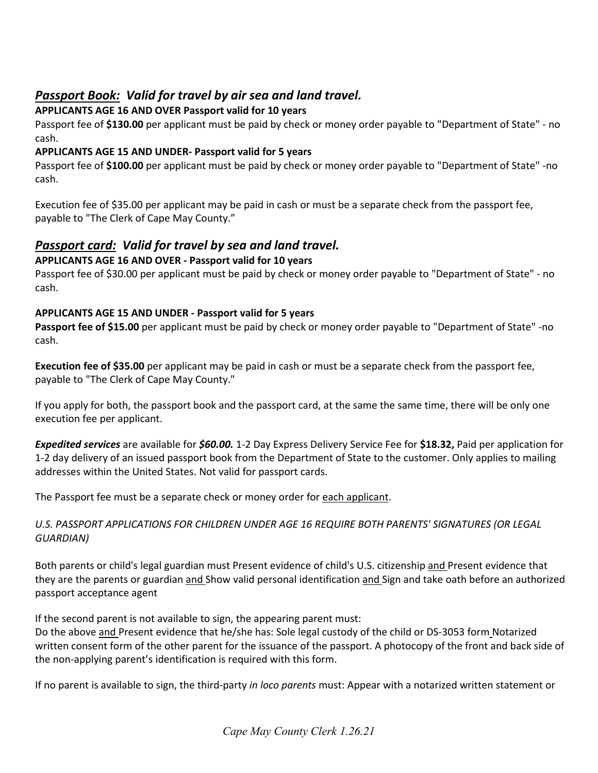# *Passport Book: Valid for travel by air sea and land travel.*

### **APPLICANTS AGE 16 AND OVER Passport valid for 10 years**

Passport fee of **\$130.00** per applicant must be paid by check or money order payable to "Department of State" - no cash.

### **APPLICANTS AGE 15 AND UNDER- Passport valid for 5 years**

Passport fee of **\$100.00** per applicant must be paid by check or money order payable to "Department of State" -no cash.

Execution fee of \$35.00 per applicant may be paid in cash or must be a separate check from the passport fee, payable to "The Clerk of Cape May County."

# *Passport card: Valid for travel by sea and land travel.*

### **APPLICANTS AGE 16 AND OVER - Passport valid for 10 years**

Passport fee of \$30.00 per applicant must be paid by check or money order payable to "Department of State" - no cash.

### **APPLICANTS AGE 15 AND UNDER - Passport valid for 5 years**

**Passport fee of \$15.00** per applicant must be paid by check or money order payable to "Department of State" -no cash.

**Execution fee of \$35.00** per applicant may be paid in cash or must be a separate check from the passport fee, payable to "The Clerk of Cape May County."

If you apply for both, the passport book and the passport card, at the same the same time, there will be only one execution fee per applicant.

*Expedited services* are available for *\$60.00.* 1-2 Day Express Delivery Service Fee for **\$18.32,** Paid per application for 1-2 day delivery of an issued passport book from the Department of State to the customer. Only applies to mailing addresses within the United States. Not valid for passport cards.

The Passport fee must be a separate check or money order for each applicant.

### *U.S. PASSPORT APPLICATIONS FOR CHILDREN UNDER AGE 16 REQUIRE BOTH PARENTS' SIGNATURES (OR LEGAL GUARDIAN)*

Both parents or child's legal guardian must Present evidence of child's U.S. citizenship and Present evidence that they are the parents or guardian and Show valid personal identification and Sign and take oath before an authorized passport acceptance agent

If the second parent is not available to sign, the appearing parent must:

Do the above and Present evidence that he/she has: Sole legal custody of the child or DS-3053 form Notarized written consent form of the other parent for the issuance of the passport. A photocopy of the front and back side of the non-applying parent's identification is required with this form.

If no parent is available to sign, the third-party *in loco parents* must: Appear with a notarized written statement or